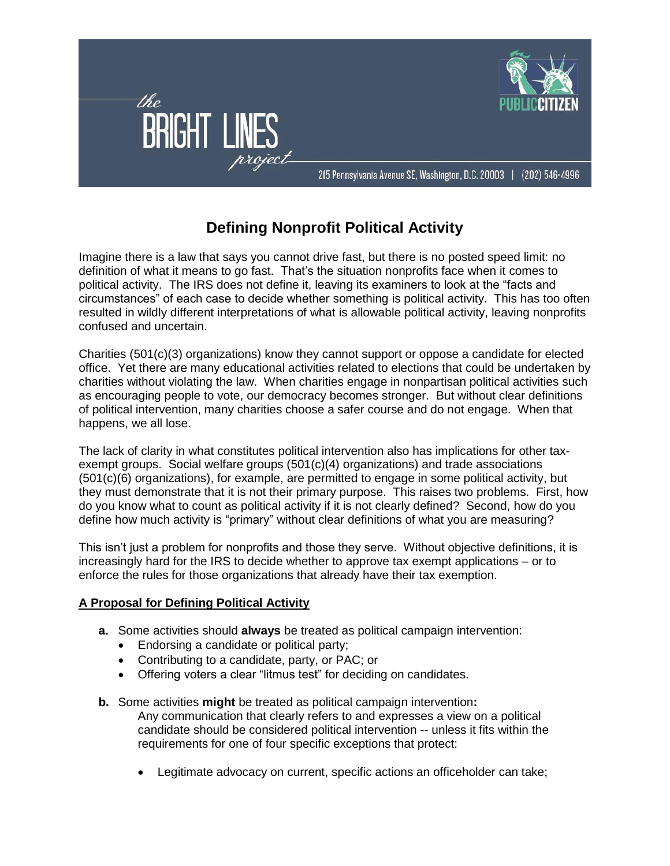

# **Defining Nonprofit Political Activity**

Imagine there is a law that says you cannot drive fast, but there is no posted speed limit: no definition of what it means to go fast. That's the situation nonprofits face when it comes to political activity. The IRS does not define it, leaving its examiners to look at the "facts and circumstances" of each case to decide whether something is political activity. This has too often resulted in wildly different interpretations of what is allowable political activity, leaving nonprofits confused and uncertain.

Charities (501(c)(3) organizations) know they cannot support or oppose a candidate for elected office. Yet there are many educational activities related to elections that could be undertaken by charities without violating the law. When charities engage in nonpartisan political activities such as encouraging people to vote, our democracy becomes stronger. But without clear definitions of political intervention, many charities choose a safer course and do not engage. When that happens, we all lose.

The lack of clarity in what constitutes political intervention also has implications for other taxexempt groups. Social welfare groups (501(c)(4) organizations) and trade associations (501(c)(6) organizations), for example, are permitted to engage in some political activity, but they must demonstrate that it is not their primary purpose. This raises two problems. First, how do you know what to count as political activity if it is not clearly defined? Second, how do you define how much activity is "primary" without clear definitions of what you are measuring?

This isn't just a problem for nonprofits and those they serve. Without objective definitions, it is increasingly hard for the IRS to decide whether to approve tax exempt applications – or to enforce the rules for those organizations that already have their tax exemption.

## **A Proposal for Defining Political Activity**

- **a.** Some activities should **always** be treated as political campaign intervention:
	- Endorsing a candidate or political party;
	- Contributing to a candidate, party, or PAC; or
	- Offering voters a clear "litmus test" for deciding on candidates.
- **b.** Some activities **might** be treated as political campaign intervention**:**  Any communication that clearly refers to and expresses a view on a political candidate should be considered political intervention -- unless it fits within the requirements for one of four specific exceptions that protect:
	- Legitimate advocacy on current, specific actions an officeholder can take;